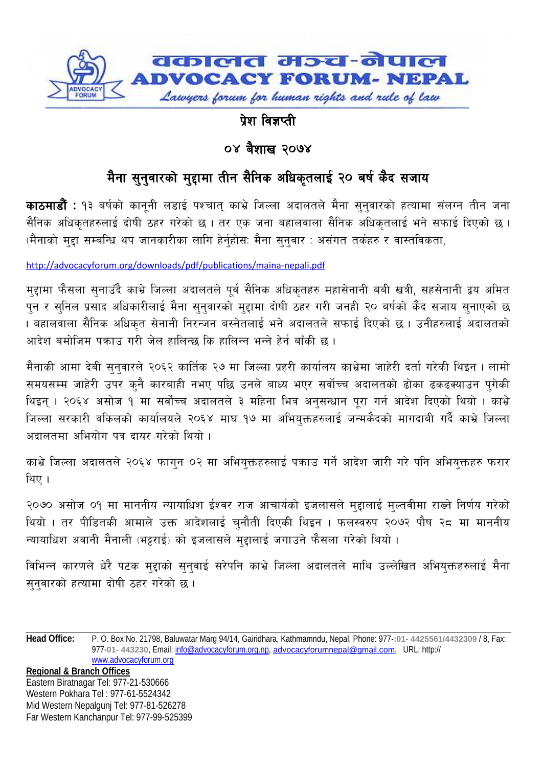

## पेश विज्ञप्ती

## ०४ बैशाख २०७४

## मैना सुनुवारको मुद्दामा तीन सैनिक अधिकृतलाई २० बर्ष कैद सजाय

**काठमाडौं** : १३ बर्षको काननी लडाई पश्चात काभ्रे जिल्ला अदालतले मैना सनवारको हत्यामा संलग्न तीन जना सैनिक अधिकृतहरुलाई दोषी ठहर गरेको छ । तर एक जना बहालवाला सैनिक अधिकृतलाई भने सफाई दिएको छ । (मैनाको मुद्दा सम्बन्धि थप जानकारीका लागि हेर्नुहोस: मैना सुनुवार : असंगत तर्कहरु र वास्तविकता,

http://advocacyforum.org/downloads/pdf/publications/maina-nepali.pdf

मुद्दामा फैसला सुनाउँदै काभ्रे जिल्ला अदालतले पूर्व सैनिक अधिकृतहरु महासेनानी बबी खत्री, सहसेनानी द्वय अमित पुन र सुनिल प्रसाद अधिकारीलाई मैना सुनुवारको मुद्दामा दोषी ठहर गरी जनही २० बर्षको कैद सजाय सुनाएको छ । बहालवाला सैनिक अधिकत सेनानी निरन्जन बस्नेतलाई भने अदालतले सफाई दिएको छ । उनीहरुलाई अदालतको आदेश बमोजिम पकाउ गरी जेल हालिन्छ कि हालिन्न भन्ने हेर्न बाँकी छ।

मैनाकी आमा देबी सुनुवारले २०६२ कार्तिक २७ मा जिल्ला प्रहरी कार्यालय काभ्रेमा जाहेरी दर्ता गरेकी थिइन । लामो समयसम्म जाहेरी उपर कुनै कारबाही नभए पछि उनले बाध्य भएर सर्वोच्च अदालतको ढोका ढकढक्याउन पगेकी थिइन् । २०६४ असोज १ मा सर्वोच्च अदालतले ३ महिना भित्र अनुसन्धान पूरा गर्न आदेश दिएको थियो । काभ्रे जिल्ला सरकारी वकिलको कार्यालयले २०६४ माघ १७ मा अभियुक्तहरुलाई जन्मकैदको मागदाबी गर्दै काभ्रे जिल्ला अदालतमा अभियोग पत्र दायर गरेको थियो ।

काभ्रे जिल्ला अदालतले २०६४ फागुन ०२ मा अभियुक्तहरुलाई पक्राउ गर्ने आदेश जारी गरे पनि अभियुक्तहरु फरार थिए ।

२०७० असोज ०१ मा माननीय न्यायाधिश ईश्वर राज आचार्यको इजलासले महालाई मल्तवीमा राख्ने निर्णय गरेको थियो । तर पीडितकी आमाले उक्त आदेशलाई चुनौती दिएकी थिइन । फलस्वरुप २०७२ पौष २८ मा माननीय न्यायाधिश अवानी मैनाली (भट्टराई) को इजलासले मुद्दालाई जगाउने फैसला गरेको थियो ।

विभिन्न कारणले धेरै पटक मुद्दाको सुनुवाई सरेपनि काभ्रे जिल्ला अदालतले माथि उल्लेखित अभियुक्तहरुलाई मैना सनवारको हत्यामा दोषी ठहर गरेको छ।

**Head Office:** P. O. Box No. 21798, Baluwatar Marg 94/14, Gairidhara, Kathmamndu, Nepal, Phone: 977-:01- 4425561/4432309 / 8, Fax: 977-01-443230, Email: info@advocacyforum.org.np, advocacyforumnepal@gmail.com, URL: http:// www.advocacyforum.org

**Regional & Branch Offices** Eastern Biratnagar Tel: 977-21-530666 Western Pokhara Tel: 977-61-5524342 Mid Western Nepalgunj Tel: 977-81-526278 Far Western Kanchanpur Tel: 977-99-525399